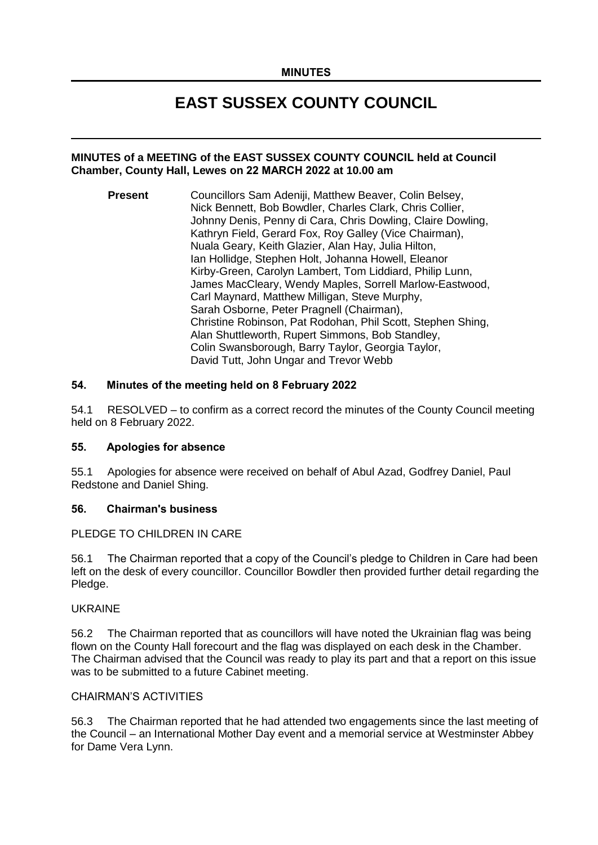# **EAST SUSSEX COUNTY COUNCIL**

#### **MINUTES of a MEETING of the EAST SUSSEX COUNTY COUNCIL held at Council Chamber, County Hall, Lewes on 22 MARCH 2022 at 10.00 am**

**Present** Councillors Sam Adeniji, Matthew Beaver, Colin Belsey, Nick Bennett, Bob Bowdler, Charles Clark, Chris Collier, Johnny Denis, Penny di Cara, Chris Dowling, Claire Dowling, Kathryn Field, Gerard Fox, Roy Galley (Vice Chairman), Nuala Geary, Keith Glazier, Alan Hay, Julia Hilton, Ian Hollidge, Stephen Holt, Johanna Howell, Eleanor Kirby-Green, Carolyn Lambert, Tom Liddiard, Philip Lunn, James MacCleary, Wendy Maples, Sorrell Marlow-Eastwood, Carl Maynard, Matthew Milligan, Steve Murphy, Sarah Osborne, Peter Pragnell (Chairman), Christine Robinson, Pat Rodohan, Phil Scott, Stephen Shing, Alan Shuttleworth, Rupert Simmons, Bob Standley, Colin Swansborough, Barry Taylor, Georgia Taylor, David Tutt, John Ungar and Trevor Webb

## **54. Minutes of the meeting held on 8 February 2022**

54.1 RESOLVED – to confirm as a correct record the minutes of the County Council meeting held on 8 February 2022.

#### **55. Apologies for absence**

55.1 Apologies for absence were received on behalf of Abul Azad, Godfrey Daniel, Paul Redstone and Daniel Shing.

#### **56. Chairman's business**

#### PLEDGE TO CHILDREN IN CARE

56.1 The Chairman reported that a copy of the Council's pledge to Children in Care had been left on the desk of every councillor. Councillor Bowdler then provided further detail regarding the Pledge.

#### UKRAINE

56.2 The Chairman reported that as councillors will have noted the Ukrainian flag was being flown on the County Hall forecourt and the flag was displayed on each desk in the Chamber. The Chairman advised that the Council was ready to play its part and that a report on this issue was to be submitted to a future Cabinet meeting.

## CHAIRMAN'S ACTIVITIES

56.3 The Chairman reported that he had attended two engagements since the last meeting of the Council – an International Mother Day event and a memorial service at Westminster Abbey for Dame Vera Lynn.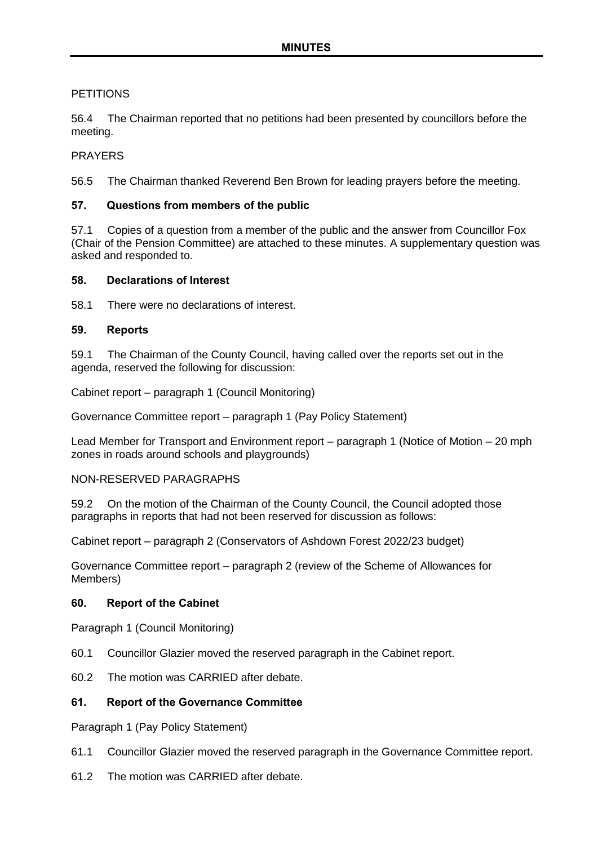# **PETITIONS**

56.4 The Chairman reported that no petitions had been presented by councillors before the meeting.

## PRAYERS

56.5 The Chairman thanked Reverend Ben Brown for leading prayers before the meeting.

## **57. Questions from members of the public**

57.1 Copies of a question from a member of the public and the answer from Councillor Fox (Chair of the Pension Committee) are attached to these minutes. A supplementary question was asked and responded to.

### **58. Declarations of Interest**

58.1 There were no declarations of interest.

### **59. Reports**

59.1 The Chairman of the County Council, having called over the reports set out in the agenda, reserved the following for discussion:

Cabinet report – paragraph 1 (Council Monitoring)

Governance Committee report – paragraph 1 (Pay Policy Statement)

Lead Member for Transport and Environment report – paragraph 1 (Notice of Motion – 20 mph zones in roads around schools and playgrounds)

#### NON-RESERVED PARAGRAPHS

59.2 On the motion of the Chairman of the County Council, the Council adopted those paragraphs in reports that had not been reserved for discussion as follows:

Cabinet report – paragraph 2 (Conservators of Ashdown Forest 2022/23 budget)

Governance Committee report – paragraph 2 (review of the Scheme of Allowances for Members)

#### **60. Report of the Cabinet**

Paragraph 1 (Council Monitoring)

60.1 Councillor Glazier moved the reserved paragraph in the Cabinet report.

60.2 The motion was CARRIED after debate.

## **61. Report of the Governance Committee**

Paragraph 1 (Pay Policy Statement)

- 61.1 Councillor Glazier moved the reserved paragraph in the Governance Committee report.
- 61.2 The motion was CARRIED after debate.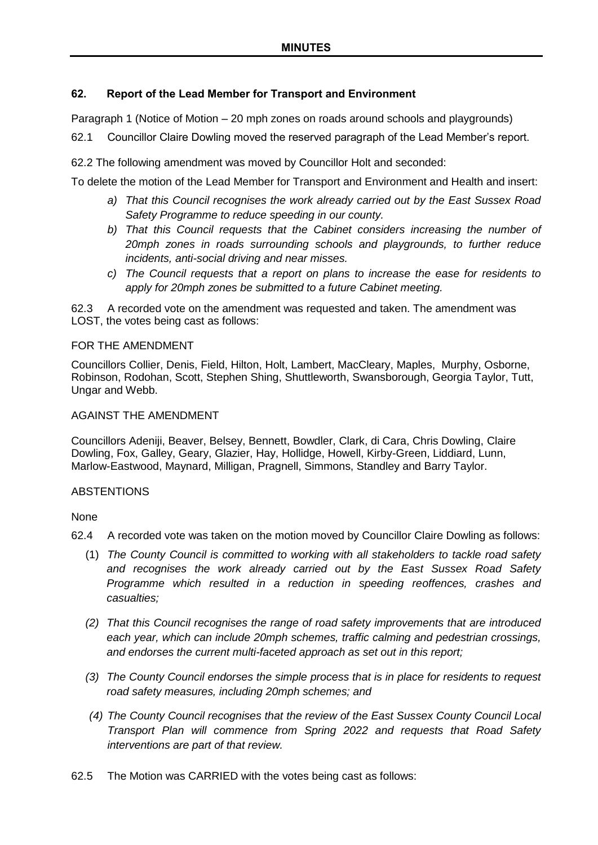## **62. Report of the Lead Member for Transport and Environment**

Paragraph 1 (Notice of Motion – 20 mph zones on roads around schools and playgrounds)

62.1 Councillor Claire Dowling moved the reserved paragraph of the Lead Member's report.

62.2 The following amendment was moved by Councillor Holt and seconded:

To delete the motion of the Lead Member for Transport and Environment and Health and insert:

- *a) That this Council recognises the work already carried out by the East Sussex Road Safety Programme to reduce speeding in our county.*
- *b) That this Council requests that the Cabinet considers increasing the number of 20mph zones in roads surrounding schools and playgrounds, to further reduce incidents, anti-social driving and near misses.*
- *c) The Council requests that a report on plans to increase the ease for residents to apply for 20mph zones be submitted to a future Cabinet meeting.*

62.3 A recorded vote on the amendment was requested and taken. The amendment was LOST, the votes being cast as follows:

### FOR THE AMENDMENT

Councillors Collier, Denis, Field, Hilton, Holt, Lambert, MacCleary, Maples, Murphy, Osborne, Robinson, Rodohan, Scott, Stephen Shing, Shuttleworth, Swansborough, Georgia Taylor, Tutt, Ungar and Webb.

## AGAINST THE AMENDMENT

Councillors Adeniji, Beaver, Belsey, Bennett, Bowdler, Clark, di Cara, Chris Dowling, Claire Dowling, Fox, Galley, Geary, Glazier, Hay, Hollidge, Howell, Kirby-Green, Liddiard, Lunn, Marlow-Eastwood, Maynard, Milligan, Pragnell, Simmons, Standley and Barry Taylor.

#### **ABSTENTIONS**

None

- 62.4 A recorded vote was taken on the motion moved by Councillor Claire Dowling as follows:
	- (1) *The County Council is committed to working with all stakeholders to tackle road safety and recognises the work already carried out by the East Sussex Road Safety Programme which resulted in a reduction in speeding reoffences, crashes and casualties;*
	- *(2) That this Council recognises the range of road safety improvements that are introduced each year, which can include 20mph schemes, traffic calming and pedestrian crossings, and endorses the current multi-faceted approach as set out in this report;*
	- *(3) The County Council endorses the simple process that is in place for residents to request road safety measures, including 20mph schemes; and*
	- *(4) The County Council recognises that the review of the East Sussex County Council Local Transport Plan will commence from Spring 2022 and requests that Road Safety interventions are part of that review.*
- 62.5 The Motion was CARRIED with the votes being cast as follows: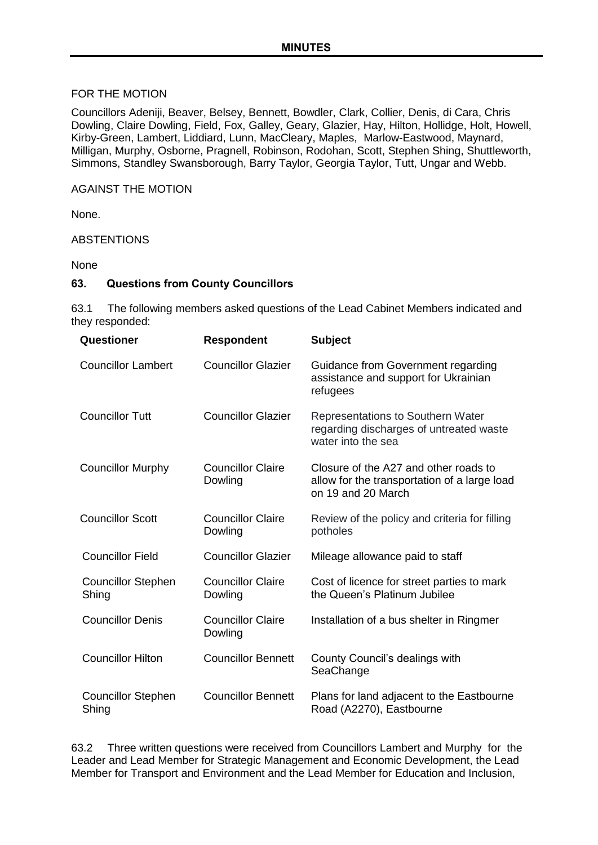### FOR THE MOTION

Councillors Adeniji, Beaver, Belsey, Bennett, Bowdler, Clark, Collier, Denis, di Cara, Chris Dowling, Claire Dowling, Field, Fox, Galley, Geary, Glazier, Hay, Hilton, Hollidge, Holt, Howell, Kirby-Green, Lambert, Liddiard, Lunn, MacCleary, Maples, Marlow-Eastwood, Maynard, Milligan, Murphy, Osborne, Pragnell, Robinson, Rodohan, Scott, Stephen Shing, Shuttleworth, Simmons, Standley Swansborough, Barry Taylor, Georgia Taylor, Tutt, Ungar and Webb.

## AGAINST THE MOTION

None.

## ABSTENTIONS

None

### **63. Questions from County Councillors**

63.1 The following members asked questions of the Lead Cabinet Members indicated and they responded:

| Questioner                         | <b>Respondent</b>                   | <b>Subject</b>                                                                                              |
|------------------------------------|-------------------------------------|-------------------------------------------------------------------------------------------------------------|
| <b>Councillor Lambert</b>          | <b>Councillor Glazier</b>           | Guidance from Government regarding<br>assistance and support for Ukrainian<br>refugees                      |
| <b>Councillor Tutt</b>             | <b>Councillor Glazier</b>           | <b>Representations to Southern Water</b><br>regarding discharges of untreated waste<br>water into the sea   |
| <b>Councillor Murphy</b>           | <b>Councillor Claire</b><br>Dowling | Closure of the A27 and other roads to<br>allow for the transportation of a large load<br>on 19 and 20 March |
| <b>Councillor Scott</b>            | <b>Councillor Claire</b><br>Dowling | Review of the policy and criteria for filling<br>potholes                                                   |
| <b>Councillor Field</b>            | <b>Councillor Glazier</b>           | Mileage allowance paid to staff                                                                             |
| <b>Councillor Stephen</b><br>Shing | <b>Councillor Claire</b><br>Dowling | Cost of licence for street parties to mark<br>the Queen's Platinum Jubilee                                  |
| <b>Councillor Denis</b>            | <b>Councillor Claire</b><br>Dowling | Installation of a bus shelter in Ringmer                                                                    |
| <b>Councillor Hilton</b>           | <b>Councillor Bennett</b>           | County Council's dealings with<br>SeaChange                                                                 |
| <b>Councillor Stephen</b><br>Shing | <b>Councillor Bennett</b>           | Plans for land adjacent to the Eastbourne<br>Road (A2270), Eastbourne                                       |

63.2 Three written questions were received from Councillors Lambert and Murphy for the Leader and Lead Member for Strategic Management and Economic Development, the Lead Member for Transport and Environment and the Lead Member for Education and Inclusion,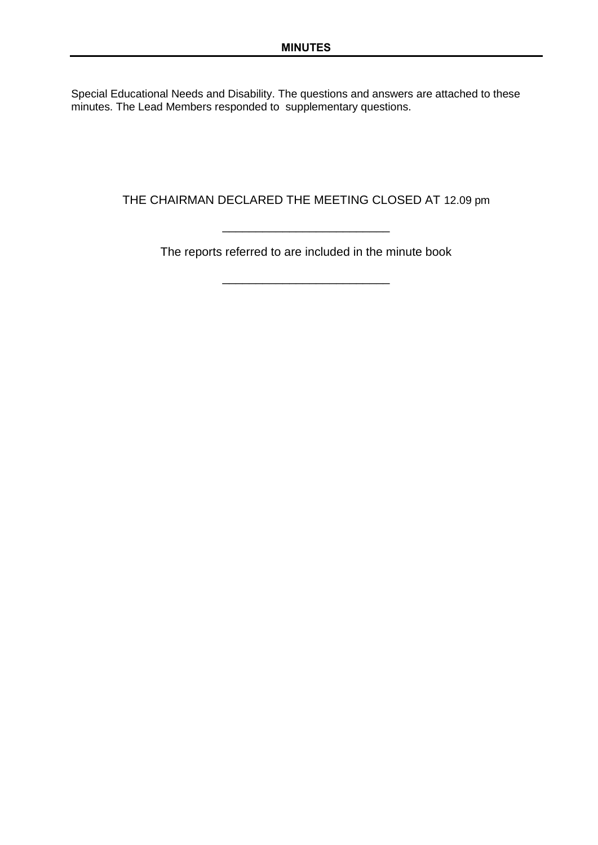Special Educational Needs and Disability. The questions and answers are attached to these minutes. The Lead Members responded to supplementary questions.

THE CHAIRMAN DECLARED THE MEETING CLOSED AT 12.09 pm

The reports referred to are included in the minute book

\_\_\_\_\_\_\_\_\_\_\_\_\_\_\_\_\_\_\_\_\_\_\_\_\_

\_\_\_\_\_\_\_\_\_\_\_\_\_\_\_\_\_\_\_\_\_\_\_\_\_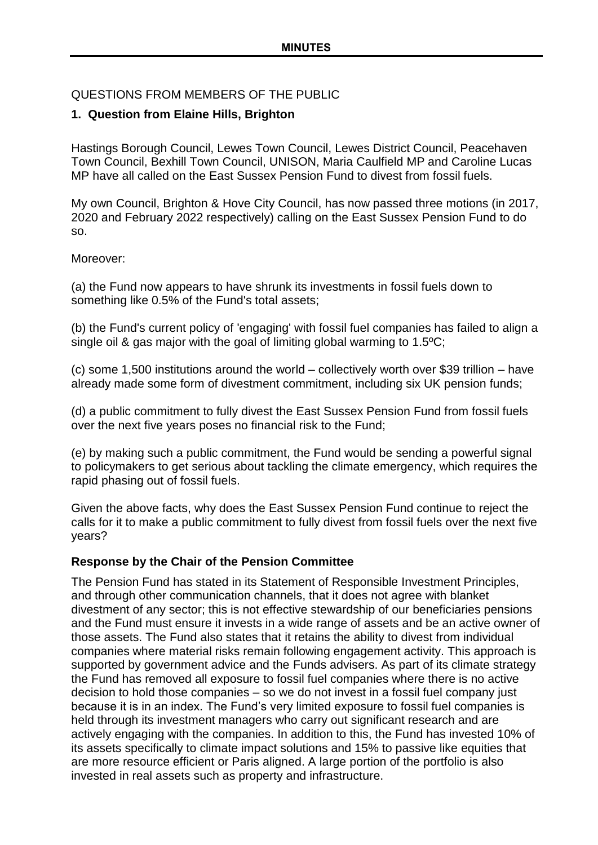# QUESTIONS FROM MEMBERS OF THE PUBLIC

# **1. Question from Elaine Hills, Brighton**

Hastings Borough Council, Lewes Town Council, Lewes District Council, Peacehaven Town Council, Bexhill Town Council, UNISON, Maria Caulfield MP and Caroline Lucas MP have all called on the East Sussex Pension Fund to divest from fossil fuels.

My own Council, Brighton & Hove City Council, has now passed three motions (in 2017, 2020 and February 2022 respectively) calling on the East Sussex Pension Fund to do so.

Moreover:

(a) the Fund now appears to have shrunk its investments in fossil fuels down to something like 0.5% of the Fund's total assets;

(b) the Fund's current policy of 'engaging' with fossil fuel companies has failed to align a single oil & gas major with the goal of limiting global warming to 1.5ºC;

(c) some 1,500 institutions around the world – collectively worth over \$39 trillion – have already made some form of divestment commitment, including six UK pension funds;

(d) a public commitment to fully divest the East Sussex Pension Fund from fossil fuels over the next five years poses no financial risk to the Fund;

(e) by making such a public commitment, the Fund would be sending a powerful signal to policymakers to get serious about tackling the climate emergency, which requires the rapid phasing out of fossil fuels.

Given the above facts, why does the East Sussex Pension Fund continue to reject the calls for it to make a public commitment to fully divest from fossil fuels over the next five years?

# **Response by the Chair of the Pension Committee**

The Pension Fund has stated in its Statement of Responsible Investment Principles, and through other communication channels, that it does not agree with blanket divestment of any sector; this is not effective stewardship of our beneficiaries pensions and the Fund must ensure it invests in a wide range of assets and be an active owner of those assets. The Fund also states that it retains the ability to divest from individual companies where material risks remain following engagement activity. This approach is supported by government advice and the Funds advisers. As part of its climate strategy the Fund has removed all exposure to fossil fuel companies where there is no active decision to hold those companies – so we do not invest in a fossil fuel company just because it is in an index. The Fund's very limited exposure to fossil fuel companies is held through its investment managers who carry out significant research and are actively engaging with the companies. In addition to this, the Fund has invested 10% of its assets specifically to climate impact solutions and 15% to passive like equities that are more resource efficient or Paris aligned. A large portion of the portfolio is also invested in real assets such as property and infrastructure.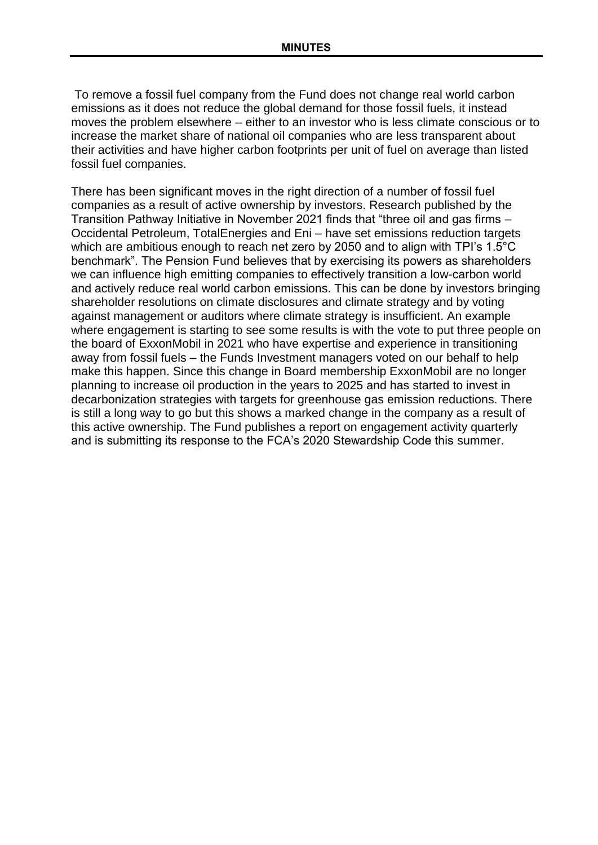To remove a fossil fuel company from the Fund does not change real world carbon emissions as it does not reduce the global demand for those fossil fuels, it instead moves the problem elsewhere – either to an investor who is less climate conscious or to increase the market share of national oil companies who are less transparent about their activities and have higher carbon footprints per unit of fuel on average than listed fossil fuel companies.

There has been significant moves in the right direction of a number of fossil fuel companies as a result of active ownership by investors. Research published by the Transition Pathway Initiative in November 2021 finds that "three oil and gas firms – Occidental Petroleum, TotalEnergies and Eni – have set emissions reduction targets which are ambitious enough to reach net zero by 2050 and to align with TPI's 1.5°C benchmark". The Pension Fund believes that by exercising its powers as shareholders we can influence high emitting companies to effectively transition a low-carbon world and actively reduce real world carbon emissions. This can be done by investors bringing shareholder resolutions on climate disclosures and climate strategy and by voting against management or auditors where climate strategy is insufficient. An example where engagement is starting to see some results is with the vote to put three people on the board of ExxonMobil in 2021 who have expertise and experience in transitioning away from fossil fuels – the Funds Investment managers voted on our behalf to help make this happen. Since this change in Board membership ExxonMobil are no longer planning to increase oil production in the years to 2025 and has started to invest in decarbonization strategies with targets for greenhouse gas emission reductions. There is still a long way to go but this shows a marked change in the company as a result of this active ownership. The Fund publishes a report on engagement activity quarterly and is submitting its response to the FCA's 2020 Stewardship Code this summer.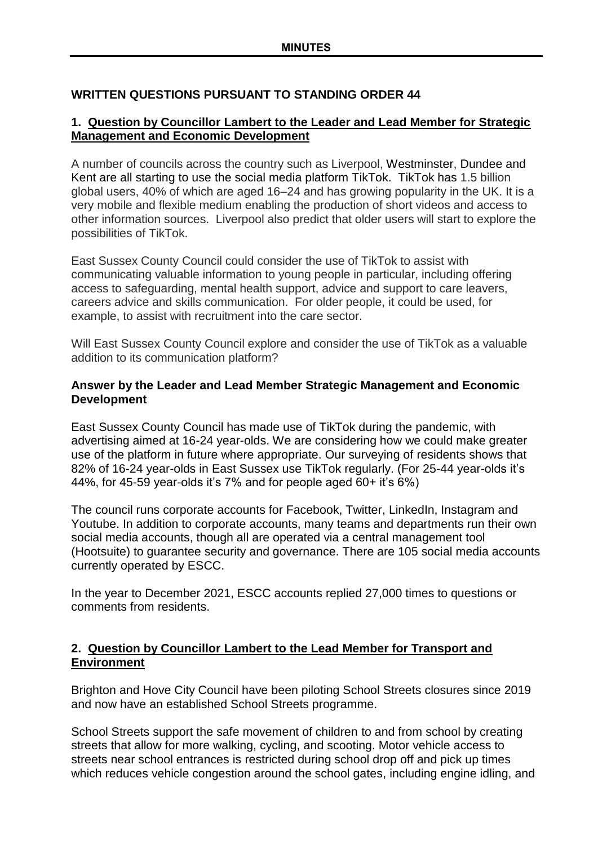# **WRITTEN QUESTIONS PURSUANT TO STANDING ORDER 44**

# **1. Question by Councillor Lambert to the Leader and Lead Member for Strategic Management and Economic Development**

A number of councils across the country such as Liverpool, Westminster, Dundee and Kent are all starting to use the social media platform TikTok. TikTok has 1.5 billion global users, 40% of which are aged 16–24 and has growing popularity in the UK. It is a very mobile and flexible medium enabling the production of short videos and access to other information sources. Liverpool also predict that older users will start to explore the possibilities of TikTok.

East Sussex County Council could consider the use of TikTok to assist with communicating valuable information to young people in particular, including offering access to safeguarding, mental health support, advice and support to care leavers, careers advice and skills communication. For older people, it could be used, for example, to assist with recruitment into the care sector.

Will East Sussex County Council explore and consider the use of TikTok as a valuable addition to its communication platform?

# **Answer by the Leader and Lead Member Strategic Management and Economic Development**

East Sussex County Council has made use of TikTok during the pandemic, with advertising aimed at 16-24 year-olds. We are considering how we could make greater use of the platform in future where appropriate. Our surveying of residents shows that 82% of 16-24 year-olds in East Sussex use TikTok regularly. (For 25-44 year-olds it's 44%, for 45-59 year-olds it's 7% and for people aged 60+ it's 6%)

The council runs corporate accounts for Facebook, Twitter, LinkedIn, Instagram and Youtube. In addition to corporate accounts, many teams and departments run their own social media accounts, though all are operated via a central management tool (Hootsuite) to guarantee security and governance. There are 105 social media accounts currently operated by ESCC.

In the year to December 2021, ESCC accounts replied 27,000 times to questions or comments from residents.

# **2. Question by Councillor Lambert to the Lead Member for Transport and Environment**

Brighton and Hove City Council have been piloting School Streets closures since 2019 and now have an established School Streets programme.

School Streets support the safe movement of children to and from school by creating streets that allow for more walking, cycling, and scooting. Motor vehicle access to streets near school entrances is restricted during school drop off and pick up times which reduces vehicle congestion around the school gates, including engine idling, and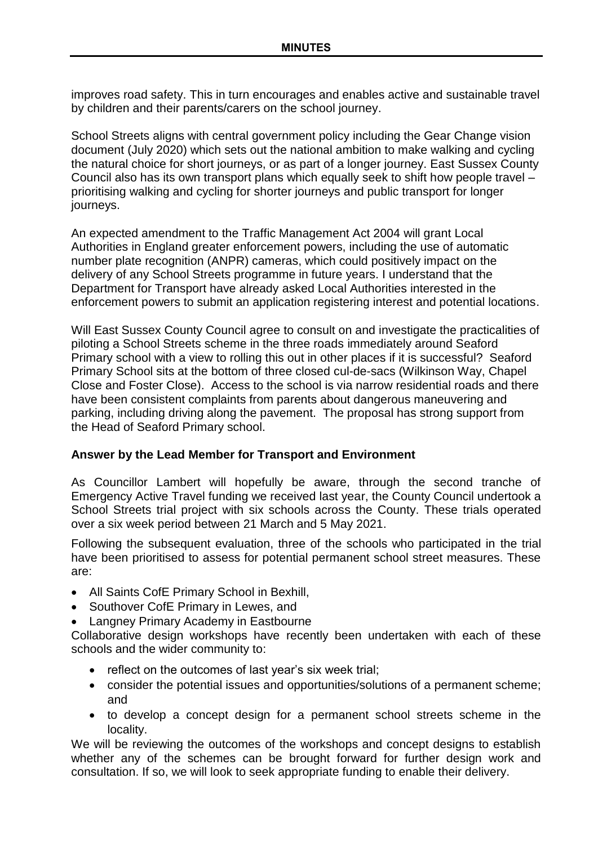improves road safety. This in turn encourages and enables active and sustainable travel by children and their parents/carers on the school journey.

School Streets aligns with central government policy including the Gear Change vision document (July 2020) which sets out the national ambition to make walking and cycling the natural choice for short journeys, or as part of a longer journey. East Sussex County Council also has its own transport plans which equally seek to shift how people travel – prioritising walking and cycling for shorter journeys and public transport for longer journeys.

An expected amendment to the Traffic Management Act 2004 will grant Local Authorities in England greater enforcement powers, including the use of automatic number plate recognition (ANPR) cameras, which could positively impact on the delivery of any School Streets programme in future years. I understand that the Department for Transport have already asked Local Authorities interested in the enforcement powers to submit an application registering interest and potential locations.

Will East Sussex County Council agree to consult on and investigate the practicalities of piloting a School Streets scheme in the three roads immediately around Seaford Primary school with a view to rolling this out in other places if it is successful? Seaford Primary School sits at the bottom of three closed cul-de-sacs (Wilkinson Way, Chapel Close and Foster Close). Access to the school is via narrow residential roads and there have been consistent complaints from parents about dangerous maneuvering and parking, including driving along the pavement. The proposal has strong support from the Head of Seaford Primary school.

# **Answer by the Lead Member for Transport and Environment**

As Councillor Lambert will hopefully be aware, through the second tranche of Emergency Active Travel funding we received last year, the County Council undertook a School Streets trial project with six schools across the County. These trials operated over a six week period between 21 March and 5 May 2021.

Following the subsequent evaluation, three of the schools who participated in the trial have been prioritised to assess for potential permanent school street measures. These are:

- All Saints CofE Primary School in Bexhill,
- Southover CofE Primary in Lewes, and
- Langney Primary Academy in Eastbourne

Collaborative design workshops have recently been undertaken with each of these schools and the wider community to:

- $\bullet$  reflect on the outcomes of last year's six week trial;
- consider the potential issues and opportunities/solutions of a permanent scheme; and
- to develop a concept design for a permanent school streets scheme in the locality.

We will be reviewing the outcomes of the workshops and concept designs to establish whether any of the schemes can be brought forward for further design work and consultation. If so, we will look to seek appropriate funding to enable their delivery.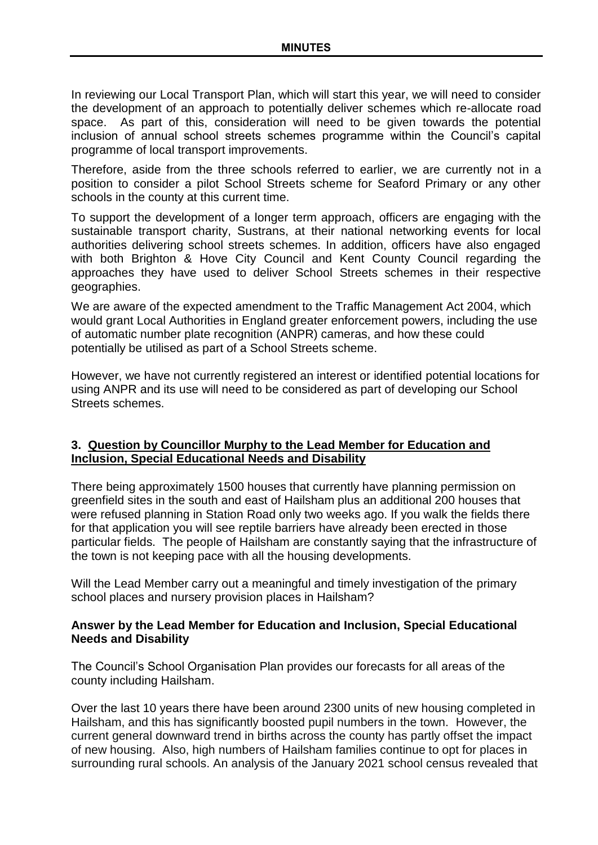In reviewing our Local Transport Plan, which will start this year, we will need to consider the development of an approach to potentially deliver schemes which re-allocate road space. As part of this, consideration will need to be given towards the potential inclusion of annual school streets schemes programme within the Council's capital programme of local transport improvements.

Therefore, aside from the three schools referred to earlier, we are currently not in a position to consider a pilot School Streets scheme for Seaford Primary or any other schools in the county at this current time.

To support the development of a longer term approach, officers are engaging with the sustainable transport charity, Sustrans, at their national networking events for local authorities delivering school streets schemes. In addition, officers have also engaged with both Brighton & Hove City Council and Kent County Council regarding the approaches they have used to deliver School Streets schemes in their respective geographies.

We are aware of the expected amendment to the Traffic Management Act 2004, which would grant Local Authorities in England greater enforcement powers, including the use of automatic number plate recognition (ANPR) cameras, and how these could potentially be utilised as part of a School Streets scheme.

However, we have not currently registered an interest or identified potential locations for using ANPR and its use will need to be considered as part of developing our School Streets schemes.

# **3. Question by Councillor Murphy to the Lead Member for Education and Inclusion, Special Educational Needs and Disability**

There being approximately 1500 houses that currently have planning permission on greenfield sites in the south and east of Hailsham plus an additional 200 houses that were refused planning in Station Road only two weeks ago. If you walk the fields there for that application you will see reptile barriers have already been erected in those particular fields. The people of Hailsham are constantly saying that the infrastructure of the town is not keeping pace with all the housing developments.

Will the Lead Member carry out a meaningful and timely investigation of the primary school places and nursery provision places in Hailsham?

# **Answer by the Lead Member for Education and Inclusion, Special Educational Needs and Disability**

The Council's School Organisation Plan provides our forecasts for all areas of the county including Hailsham.

Over the last 10 years there have been around 2300 units of new housing completed in Hailsham, and this has significantly boosted pupil numbers in the town. However, the current general downward trend in births across the county has partly offset the impact of new housing. Also, high numbers of Hailsham families continue to opt for places in surrounding rural schools. An analysis of the January 2021 school census revealed that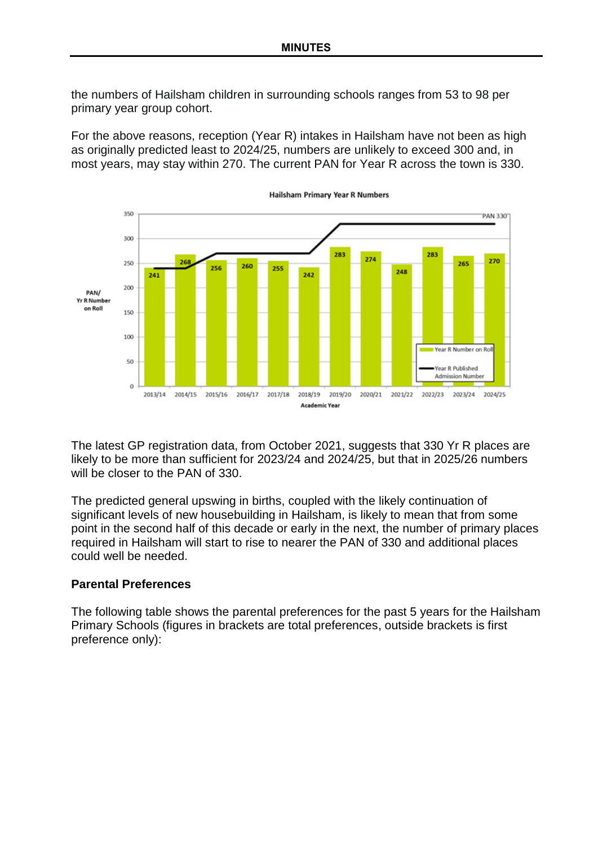the numbers of Hailsham children in surrounding schools ranges from 53 to 98 per primary year group cohort.

For the above reasons, reception (Year R) intakes in Hailsham have not been as high as originally predicted least to 2024/25, numbers are unlikely to exceed 300 and, in most years, may stay within 270. The current PAN for Year R across the town is 330.



The latest GP registration data, from October 2021, suggests that 330 Yr R places are likely to be more than sufficient for 2023/24 and 2024/25, but that in 2025/26 numbers will be closer to the PAN of 330.

The predicted general upswing in births, coupled with the likely continuation of significant levels of new housebuilding in Hailsham, is likely to mean that from some point in the second half of this decade or early in the next, the number of primary places required in Hailsham will start to rise to nearer the PAN of 330 and additional places could well be needed.

## **Parental Preferences**

The following table shows the parental preferences for the past 5 years for the Hailsham Primary Schools (figures in brackets are total preferences, outside brackets is first preference only):

**Hailsham Primary Year R Numbers**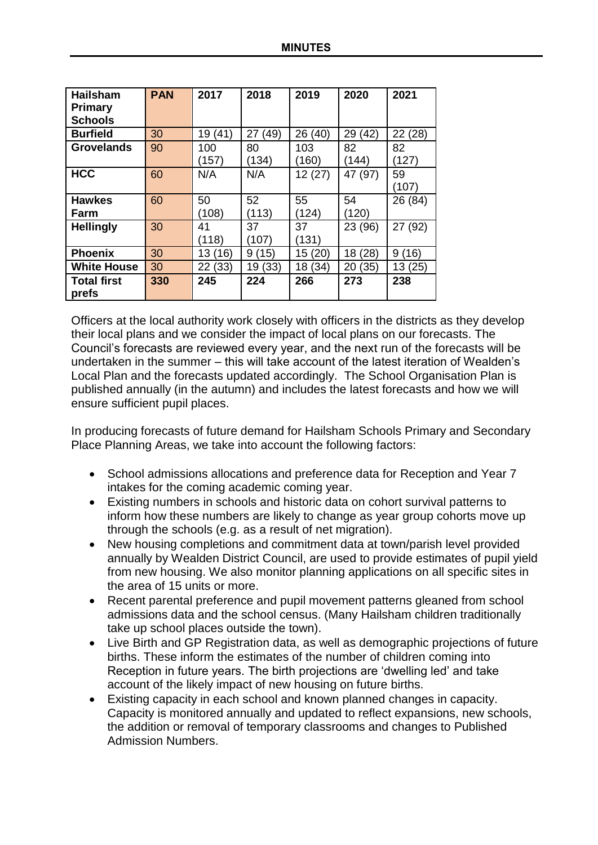| <b>Hailsham</b>    | <b>PAN</b> | 2017    | 2018    | 2019    | 2020       | 2021      |
|--------------------|------------|---------|---------|---------|------------|-----------|
| <b>Primary</b>     |            |         |         |         |            |           |
| <b>Schools</b>     |            |         |         |         |            |           |
| <b>Burfield</b>    | 30         | 19 (41) | 27 (49) | 26 (40) | 29 (42)    | 22 (28)   |
| <b>Grovelands</b>  | 90         | 100     | 80      | 103     | 82         | 82        |
|                    |            | (157)   | (134)   | (160)   | (144)      | (127)     |
| <b>HCC</b>         | 60         | N/A     | N/A     | 12(27)  | 47 (97)    | 59        |
|                    |            |         |         |         |            | (107)     |
| <b>Hawkes</b>      | 60         | 50      | 52      | 55      | 54         | 26 (84)   |
| Farm               |            | (108)   | (113)   | (124)   | (120)      |           |
| <b>Hellingly</b>   | 30         | 41      | 37      | 37      | 23 (96)    | 27 (92)   |
|                    |            | (118)   | (107)   | (131)   |            |           |
| <b>Phoenix</b>     | 30         | 13 (16) | 9(15)   | 15 (20) | 18 (28)    | 9<br>(16) |
| <b>White House</b> | 30         | 22 (33) | 19 (33) | 18 (34) | (35)<br>20 | 13 (25)   |
| <b>Total first</b> | 330        | 245     | 224     | 266     | 273        | 238       |
| prefs              |            |         |         |         |            |           |

Officers at the local authority work closely with officers in the districts as they develop their local plans and we consider the impact of local plans on our forecasts. The Council's forecasts are reviewed every year, and the next run of the forecasts will be undertaken in the summer – this will take account of the latest iteration of Wealden's Local Plan and the forecasts updated accordingly. The School Organisation Plan is published annually (in the autumn) and includes the latest forecasts and how we will ensure sufficient pupil places.

In producing forecasts of future demand for Hailsham Schools Primary and Secondary Place Planning Areas, we take into account the following factors:

- School admissions allocations and preference data for Reception and Year 7 intakes for the coming academic coming year.
- Existing numbers in schools and historic data on cohort survival patterns to inform how these numbers are likely to change as year group cohorts move up through the schools (e.g. as a result of net migration).
- New housing completions and commitment data at town/parish level provided annually by Wealden District Council, are used to provide estimates of pupil yield from new housing. We also monitor planning applications on all specific sites in the area of 15 units or more.
- Recent parental preference and pupil movement patterns gleaned from school admissions data and the school census. (Many Hailsham children traditionally take up school places outside the town).
- Live Birth and GP Registration data, as well as demographic projections of future births. These inform the estimates of the number of children coming into Reception in future years. The birth projections are 'dwelling led' and take account of the likely impact of new housing on future births.
- Existing capacity in each school and known planned changes in capacity. Capacity is monitored annually and updated to reflect expansions, new schools, the addition or removal of temporary classrooms and changes to Published Admission Numbers.